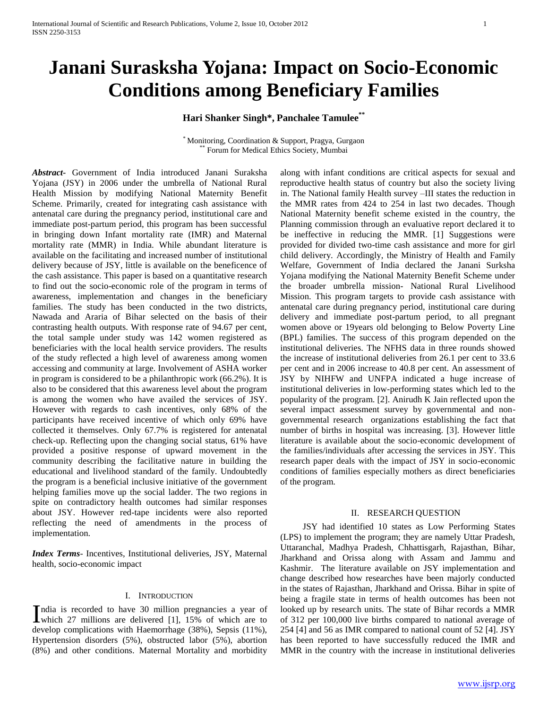# **Janani Surasksha Yojana: Impact on Socio-Economic Conditions among Beneficiary Families**

**Hari Shanker Singh\*, Panchalee Tamulee\*\***

\* Monitoring, Coordination & Support, Pragya, Gurgaon Forum for Medical Ethics Society, Mumbai

*Abstract***-** Government of India introduced Janani Suraksha Yojana (JSY) in 2006 under the umbrella of National Rural Health Mission by modifying National Maternity Benefit Scheme. Primarily, created for integrating cash assistance with antenatal care during the pregnancy period, institutional care and immediate post-partum period, this program has been successful in bringing down Infant mortality rate (IMR) and Maternal mortality rate (MMR) in India. While abundant literature is available on the facilitating and increased number of institutional delivery because of JSY, little is available on the beneficence of the cash assistance. This paper is based on a quantitative research to find out the socio-economic role of the program in terms of awareness, implementation and changes in the beneficiary families. The study has been conducted in the two districts, Nawada and Araria of Bihar selected on the basis of their contrasting health outputs. With response rate of 94.67 per cent, the total sample under study was 142 women registered as beneficiaries with the local health service providers. The results of the study reflected a high level of awareness among women accessing and community at large. Involvement of ASHA worker in program is considered to be a philanthropic work (66.2%). It is also to be considered that this awareness level about the program is among the women who have availed the services of JSY. However with regards to cash incentives, only 68% of the participants have received incentive of which only 69% have collected it themselves. Only 67.7% is registered for antenatal check-up. Reflecting upon the changing social status, 61% have provided a positive response of upward movement in the community describing the facilitative nature in building the educational and livelihood standard of the family. Undoubtedly the program is a beneficial inclusive initiative of the government helping families move up the social ladder. The two regions in spite on contradictory health outcomes had similar responses about JSY. However red-tape incidents were also reported reflecting the need of amendments in the process of implementation.

*Index Terms*- Incentives, Institutional deliveries, JSY, Maternal health, socio-economic impact

# I. INTRODUCTION

ndia is recorded to have 30 million pregnancies a year of India is recorded to have 30 million pregnancies a year of which 27 millions are delivered [1], 15% of which are to develop complications with Haemorrhage (38%), Sepsis (11%), Hypertension disorders (5%), obstructed labor (5%), abortion (8%) and other conditions. Maternal Mortality and morbidity

along with infant conditions are critical aspects for sexual and reproductive health status of country but also the society living in. The National family Health survey –III states the reduction in the MMR rates from 424 to 254 in last two decades. Though National Maternity benefit scheme existed in the country, the Planning commission through an evaluative report declared it to be ineffective in reducing the MMR. [1] Suggestions were provided for divided two-time cash assistance and more for girl child delivery. Accordingly, the Ministry of Health and Family Welfare, Government of India declared the Janani Surksha Yojana modifying the National Maternity Benefit Scheme under the broader umbrella mission- National Rural Livelihood Mission. This program targets to provide cash assistance with antenatal care during pregnancy period, institutional care during delivery and immediate post-partum period, to all pregnant women above or 19years old belonging to Below Poverty Line (BPL) families. The success of this program depended on the institutional deliveries. The NFHS data in three rounds showed the increase of institutional deliveries from 26.1 per cent to 33.6 per cent and in 2006 increase to 40.8 per cent. An assessment of JSY by NIHFW and UNFPA indicated a huge increase of institutional deliveries in low-performing states which led to the popularity of the program. [2]. Anirudh K Jain reflected upon the several impact assessment survey by governmental and nongovernmental research organizations establishing the fact that number of births in hospital was increasing. [3]. However little literature is available about the socio-economic development of the families/individuals after accessing the services in JSY. This research paper deals with the impact of JSY in socio-economic conditions of families especially mothers as direct beneficiaries of the program.

#### II. RESEARCH QUESTION

 JSY had identified 10 states as Low Performing States (LPS) to implement the program; they are namely Uttar Pradesh, Uttaranchal, Madhya Pradesh, Chhattisgarh, Rajasthan, Bihar, Jharkhand and Orissa along with Assam and Jammu and Kashmir. The literature available on JSY implementation and change described how researches have been majorly conducted in the states of Rajasthan, Jharkhand and Orissa. Bihar in spite of being a fragile state in terms of health outcomes has been not looked up by research units. The state of Bihar records a MMR of 312 per 100,000 live births compared to national average of 254 [4] and 56 as IMR compared to national count of 52 [4]. JSY has been reported to have successfully reduced the IMR and MMR in the country with the increase in institutional deliveries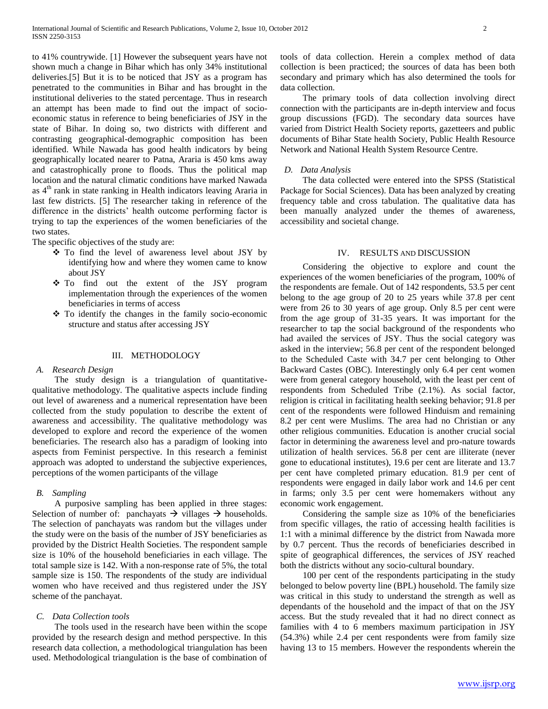to 41% countrywide. [1] However the subsequent years have not shown much a change in Bihar which has only 34% institutional deliveries.[5] But it is to be noticed that JSY as a program has penetrated to the communities in Bihar and has brought in the institutional deliveries to the stated percentage. Thus in research an attempt has been made to find out the impact of socioeconomic status in reference to being beneficiaries of JSY in the state of Bihar. In doing so, two districts with different and contrasting geographical-demographic composition has been identified. While Nawada has good health indicators by being geographically located nearer to Patna, Araria is 450 kms away and catastrophically prone to floods. Thus the political map location and the natural climatic conditions have marked Nawada as 4<sup>th</sup> rank in state ranking in Health indicators leaving Araria in last few districts. [5] The researcher taking in reference of the difference in the districts' health outcome performing factor is trying to tap the experiences of the women beneficiaries of the two states.

The specific objectives of the study are:

- To find the level of awareness level about JSY by identifying how and where they women came to know about JSY
- To find out the extent of the JSY program implementation through the experiences of the women beneficiaries in terms of access
- $\div$  To identify the changes in the family socio-economic structure and status after accessing JSY

### III. METHODOLOGY

# *A. Research Design*

 The study design is a triangulation of quantitativequalitative methodology. The qualitative aspects include finding out level of awareness and a numerical representation have been collected from the study population to describe the extent of awareness and accessibility. The qualitative methodology was developed to explore and record the experience of the women beneficiaries. The research also has a paradigm of looking into aspects from Feminist perspective. In this research a feminist approach was adopted to understand the subjective experiences, perceptions of the women participants of the village

#### *B. Sampling*

 A purposive sampling has been applied in three stages: Selection of number of: panchayats  $\rightarrow$  villages  $\rightarrow$  households. The selection of panchayats was random but the villages under the study were on the basis of the number of JSY beneficiaries as provided by the District Health Societies. The respondent sample size is 10% of the household beneficiaries in each village. The total sample size is 142. With a non-response rate of 5%, the total sample size is 150. The respondents of the study are individual women who have received and thus registered under the JSY scheme of the panchayat.

#### *C. Data Collection tools*

 The tools used in the research have been within the scope provided by the research design and method perspective. In this research data collection, a methodological triangulation has been used. Methodological triangulation is the base of combination of tools of data collection. Herein a complex method of data collection is been practiced; the sources of data has been both secondary and primary which has also determined the tools for data collection.

 The primary tools of data collection involving direct connection with the participants are in-depth interview and focus group discussions (FGD). The secondary data sources have varied from District Health Society reports, gazetteers and public documents of Bihar State health Society, Public Health Resource Network and National Health System Resource Centre.

#### *D. Data Analysis*

 The data collected were entered into the SPSS (Statistical Package for Social Sciences). Data has been analyzed by creating frequency table and cross tabulation. The qualitative data has been manually analyzed under the themes of awareness, accessibility and societal change.

#### IV. RESULTS AND DISCUSSION

 Considering the objective to explore and count the experiences of the women beneficiaries of the program, 100% of the respondents are female. Out of 142 respondents, 53.5 per cent belong to the age group of 20 to 25 years while 37.8 per cent were from 26 to 30 years of age group. Only 8.5 per cent were from the age group of 31-35 years. It was important for the researcher to tap the social background of the respondents who had availed the services of JSY. Thus the social category was asked in the interview; 56.8 per cent of the respondent belonged to the Scheduled Caste with 34.7 per cent belonging to Other Backward Castes (OBC). Interestingly only 6.4 per cent women were from general category household, with the least per cent of respondents from Scheduled Tribe (2.1%). As social factor, religion is critical in facilitating health seeking behavior; 91.8 per cent of the respondents were followed Hinduism and remaining 8.2 per cent were Muslims. The area had no Christian or any other religious communities. Education is another crucial social factor in determining the awareness level and pro-nature towards utilization of health services. 56.8 per cent are illiterate (never gone to educational institutes), 19.6 per cent are literate and 13.7 per cent have completed primary education. 81.9 per cent of respondents were engaged in daily labor work and 14.6 per cent in farms; only 3.5 per cent were homemakers without any economic work engagement.

 Considering the sample size as 10% of the beneficiaries from specific villages, the ratio of accessing health facilities is 1:1 with a minimal difference by the district from Nawada more by 0.7 percent. Thus the records of beneficiaries described in spite of geographical differences, the services of JSY reached both the districts without any socio-cultural boundary.

 100 per cent of the respondents participating in the study belonged to below poverty line (BPL) household. The family size was critical in this study to understand the strength as well as dependants of the household and the impact of that on the JSY access. But the study revealed that it had no direct connect as families with 4 to 6 members maximum participation in JSY (54.3%) while 2.4 per cent respondents were from family size having 13 to 15 members. However the respondents wherein the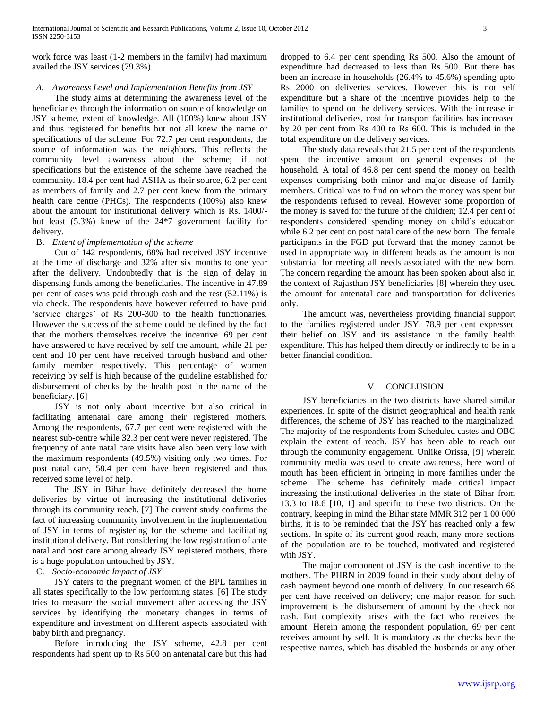work force was least (1-2 members in the family) had maximum availed the JSY services (79.3%).

# *A. Awareness Level and Implementation Benefits from JSY*

 The study aims at determining the awareness level of the beneficiaries through the information on source of knowledge on JSY scheme, extent of knowledge. All (100%) knew about JSY and thus registered for benefits but not all knew the name or specifications of the scheme. For 72.7 per cent respondents, the source of information was the neighbors. This reflects the community level awareness about the scheme; if not specifications but the existence of the scheme have reached the community. 18.4 per cent had ASHA as their source, 6.2 per cent as members of family and 2.7 per cent knew from the primary health care centre (PHCs). The respondents (100%) also knew about the amount for institutional delivery which is Rs. 1400/ but least (5.3%) knew of the 24\*7 government facility for delivery.

# B. *Extent of implementation of the scheme*

 Out of 142 respondents, 68% had received JSY incentive at the time of discharge and 32% after six months to one year after the delivery. Undoubtedly that is the sign of delay in dispensing funds among the beneficiaries. The incentive in 47.89 per cent of cases was paid through cash and the rest (52.11%) is via check. The respondents have however referred to have paid 'service charges' of Rs 200-300 to the health functionaries. However the success of the scheme could be defined by the fact that the mothers themselves receive the incentive. 69 per cent have answered to have received by self the amount, while 21 per cent and 10 per cent have received through husband and other family member respectively. This percentage of women receiving by self is high because of the guideline established for disbursement of checks by the health post in the name of the beneficiary. [6]

 JSY is not only about incentive but also critical in facilitating antenatal care among their registered mothers. Among the respondents, 67.7 per cent were registered with the nearest sub-centre while 32.3 per cent were never registered. The frequency of ante natal care visits have also been very low with the maximum respondents (49.5%) visiting only two times. For post natal care, 58.4 per cent have been registered and thus received some level of help.

 The JSY in Bihar have definitely decreased the home deliveries by virtue of increasing the institutional deliveries through its community reach. [7] The current study confirms the fact of increasing community involvement in the implementation of JSY in terms of registering for the scheme and facilitating institutional delivery. But considering the low registration of ante natal and post care among already JSY registered mothers, there is a huge population untouched by JSY.

# C. *Socio-economic Impact of JSY*

 JSY caters to the pregnant women of the BPL families in all states specifically to the low performing states. [6] The study tries to measure the social movement after accessing the JSY services by identifying the monetary changes in terms of expenditure and investment on different aspects associated with baby birth and pregnancy.

 Before introducing the JSY scheme, 42.8 per cent respondents had spent up to Rs 500 on antenatal care but this had

dropped to 6.4 per cent spending Rs 500. Also the amount of expenditure had decreased to less than Rs 500. But there has been an increase in households (26.4% to 45.6%) spending upto Rs 2000 on deliveries services. However this is not self expenditure but a share of the incentive provides help to the families to spend on the delivery services. With the increase in institutional deliveries, cost for transport facilities has increased by 20 per cent from Rs 400 to Rs 600. This is included in the total expenditure on the delivery services.

 The study data reveals that 21.5 per cent of the respondents spend the incentive amount on general expenses of the household. A total of 46.8 per cent spend the money on health expenses comprising both minor and major disease of family members. Critical was to find on whom the money was spent but the respondents refused to reveal. However some proportion of the money is saved for the future of the children; 12.4 per cent of respondents considered spending money on child's education while 6.2 per cent on post natal care of the new born. The female participants in the FGD put forward that the money cannot be used in appropriate way in different heads as the amount is not substantial for meeting all needs associated with the new born. The concern regarding the amount has been spoken about also in the context of Rajasthan JSY beneficiaries [8] wherein they used the amount for antenatal care and transportation for deliveries only.

 The amount was, nevertheless providing financial support to the families registered under JSY. 78.9 per cent expressed their belief on JSY and its assistance in the family health expenditure. This has helped them directly or indirectly to be in a better financial condition.

# V. CONCLUSION

 JSY beneficiaries in the two districts have shared similar experiences. In spite of the district geographical and health rank differences, the scheme of JSY has reached to the marginalized. The majority of the respondents from Scheduled castes and OBC explain the extent of reach. JSY has been able to reach out through the community engagement. Unlike Orissa, [9] wherein community media was used to create awareness, here word of mouth has been efficient in bringing in more families under the scheme. The scheme has definitely made critical impact increasing the institutional deliveries in the state of Bihar from 13.3 to 18.6 [10, 1] and specific to these two districts. On the contrary, keeping in mind the Bihar state MMR 312 per 1 00 000 births, it is to be reminded that the JSY has reached only a few sections. In spite of its current good reach, many more sections of the population are to be touched, motivated and registered with JSY.

 The major component of JSY is the cash incentive to the mothers. The PHRN in 2009 found in their study about delay of cash payment beyond one month of delivery. In our research 68 per cent have received on delivery; one major reason for such improvement is the disbursement of amount by the check not cash. But complexity arises with the fact who receives the amount. Herein among the respondent population, 69 per cent receives amount by self. It is mandatory as the checks bear the respective names, which has disabled the husbands or any other